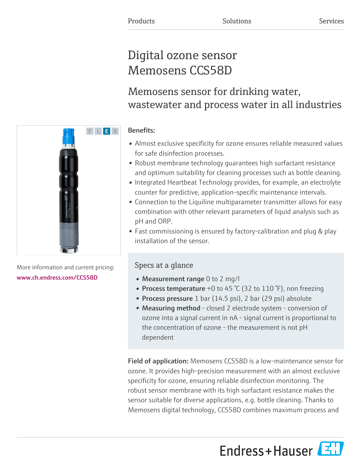# Digital ozone sensor Memosens CCS58D

# Memosens sensor for drinking water, wastewater and process water in all industries

# Benefits:

- Almost exclusive specificity for ozone ensures reliable measured values for safe disinfection processes.
- Robust membrane technology guarantees high surfactant resistance and optimum suitability for cleaning processes such as bottle cleaning.
- Integrated Heartbeat Technology provides, for example, an electrolyte counter for predictive, application-specific maintenance intervals.
- Connection to the Liquiline multiparameter transmitter allows for easy combination with other relevant parameters of liquid analysis such as pH and ORP.
- Fast commissioning is ensured by factory-calibration and plug & play installation of the sensor.

# Specs at a glance

- Measurement range 0 to 2 mg/l
- Process temperature  $+0$  to 45 °C (32 to 110 °F), non freezing
- **Process pressure**  $1$  bar (14.5 psi),  $2$  bar (29 psi) absolute
- Measuring method closed 2 electrode system conversion of ozone into a signal current in nA - signal current is proportional to the concentration of ozone - the measurement is not pH dependent

Field of application: Memosens CCS58D is a low-maintenance sensor for ozone. It provides high-precision measurement with an almost exclusive specificity for ozone, ensuring reliable disinfection monitoring. The robust sensor membrane with its high surfactant resistance makes the sensor suitable for diverse applications, e.g. bottle cleaning. Thanks to Memosens digital technology, CCS58D combines maximum process and

Endress+Hauser



More information and current pricing: [www.ch.endress.com/CCS58D](https://www.ch.endress.com/CCS58D)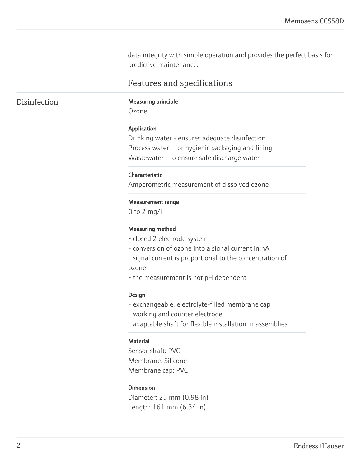data integrity with simple operation and provides the perfect basis for predictive maintenance.

# Features and specifications

#### Disinfection Measuring principle

Ozone

#### Application

Drinking water - ensures adequate disinfection Process water - for hygienic packaging and filling Wastewater - to ensure safe discharge water

#### Characteristic

Amperometric measurement of dissolved ozone

#### Measurement range

0 to 2 mg/l

#### Measuring method

- closed 2 electrode system
- conversion of ozone into a signal current in nA
- signal current is proportional to the concentration of ozone
- the measurement is not pH dependent

#### Design

- exchangeable, electrolyte-filled membrane cap
- working and counter electrode
- adaptable shaft for flexible installation in assemblies

#### **Material**

Sensor shaft: PVC Membrane: Silicone Membrane cap: PVC

#### Dimension

Diameter: 25 mm (0.98 in) Length: 161 mm (6.34 in)